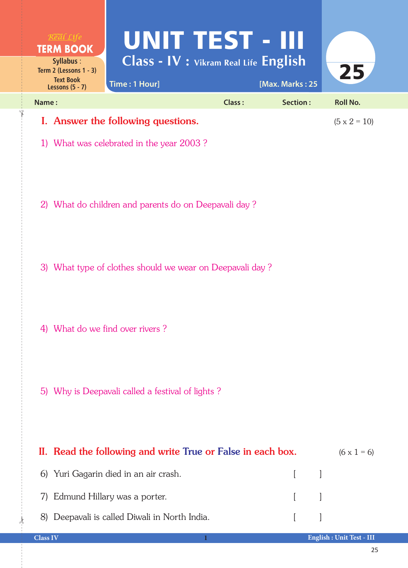